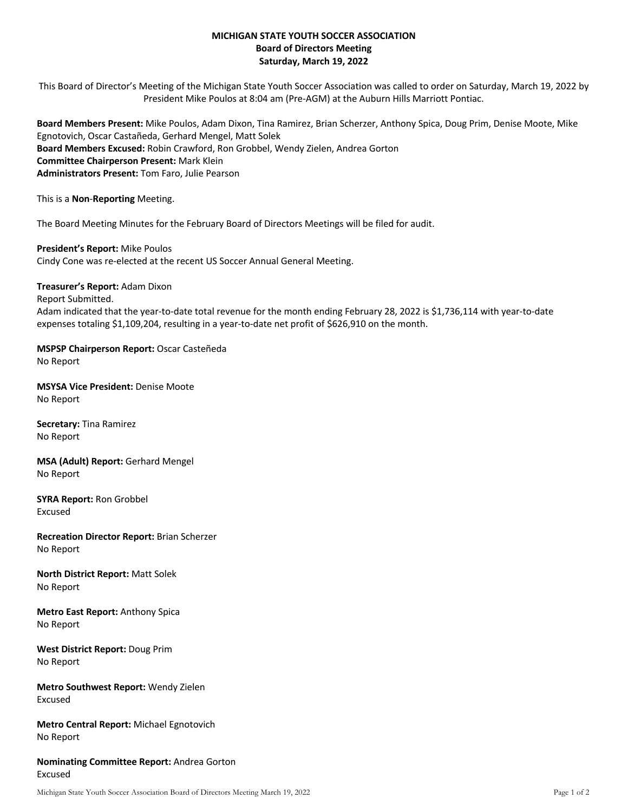## **MICHIGAN STATE YOUTH SOCCER ASSOCIATION Board of Directors Meeting Saturday, March 19, 2022**

This Board of Director's Meeting of the Michigan State Youth Soccer Association was called to order on Saturday, March 19, 2022 by President Mike Poulos at 8:04 am (Pre-AGM) at the Auburn Hills Marriott Pontiac.

**Board Members Present:** Mike Poulos, Adam Dixon, Tina Ramirez, Brian Scherzer, Anthony Spica, Doug Prim, Denise Moote, Mike Egnotovich, Oscar Castañeda, Gerhard Mengel, Matt Solek **Board Members Excused:** Robin Crawford, Ron Grobbel, Wendy Zielen, Andrea Gorton **Committee Chairperson Present:** Mark Klein **Administrators Present:** Tom Faro, Julie Pearson

This is a **Non**-**Reporting** Meeting.

The Board Meeting Minutes for the February Board of Directors Meetings will be filed for audit.

**President's Report:** Mike Poulos Cindy Cone was re-elected at the recent US Soccer Annual General Meeting.

**Treasurer's Report:** Adam Dixon

Report Submitted.

Adam indicated that the year-to-date total revenue for the month ending February 28, 2022 is \$1,736,114 with year-to-date expenses totaling \$1,109,204, resulting in a year-to-date net profit of \$626,910 on the month.

**MSPSP Chairperson Report:** Oscar Casteñeda No Report

**MSYSA Vice President:** Denise Moote No Report

**Secretary:** Tina Ramirez No Report

**MSA (Adult) Report:** Gerhard Mengel No Report

**SYRA Report:** Ron Grobbel Excused

**Recreation Director Report:** Brian Scherzer No Report

**North District Report:** Matt Solek No Report

**Metro East Report:** Anthony Spica No Report

**West District Report:** Doug Prim No Report

**Metro Southwest Report:** Wendy Zielen Excused

**Metro Central Report:** Michael Egnotovich No Report

**Nominating Committee Report:** Andrea Gorton Excused